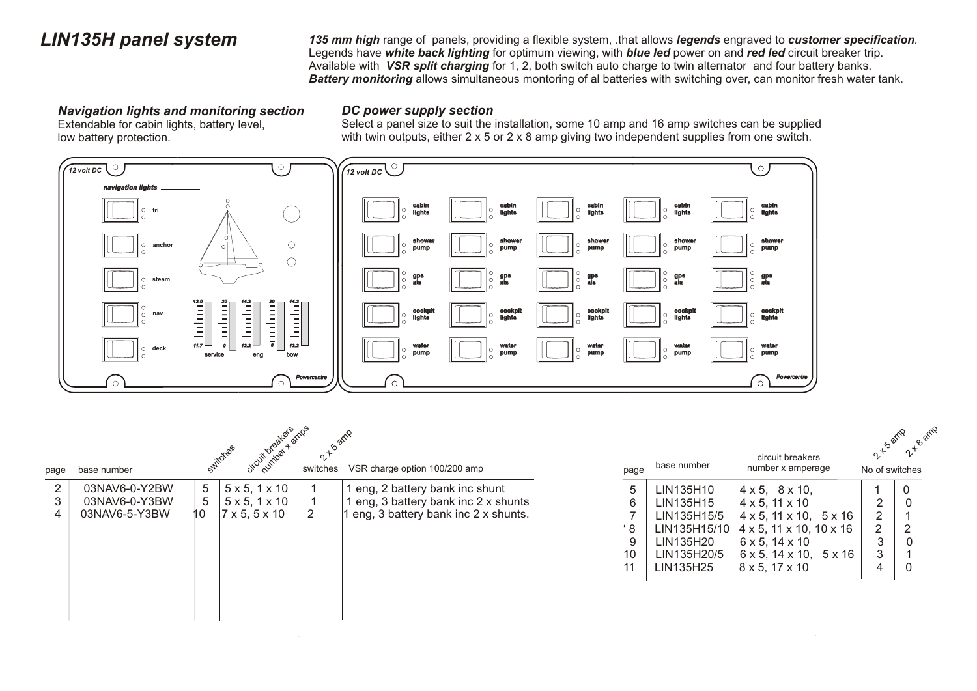*LIN135H panel system 135 mm high* range of panels, providing a flexible system, .that allows *legends* engraved to *customer specification.* Legends have *white back lighting* for optimum viewing, with *blue led* power on and *red led* circuit breaker trip. Available with *VSR split charging* for 1, 2, both switch auto charge to twin alternator and four battery banks. *Battery monitoring* allows simultaneous montoring of al batteries with switching over, can monitor fresh water tank.

#### *Navigation lights and monitoring section*

Extendable for cabin lights, battery level, low battery protection.

#### *DC power supply section*

Select a panel size to suit the installation, some 10 amp and 16 amp switches can be supplied with twin outputs, either 2 x 5 or 2 x 8 amp giving two independent supplies from one switch.



| page | base number   |    | oircuit breakers<br>Switches | switches | VSR charge option 100/200 amp       |    | page | base number  | circuit breakers<br>number x amperage         | 2 ts amp<br>No of switches | 2 - B amp |
|------|---------------|----|------------------------------|----------|-------------------------------------|----|------|--------------|-----------------------------------------------|----------------------------|-----------|
| 2    | 03NAV6-0-Y2BW | 5  | $5 \times 5, 1 \times 10$    |          | eng, 2 battery bank inc shunt       |    |      | LIN135H10    | $4 \times 5$ , $8 \times 10$ ,                |                            | 0         |
| 3    | 03NAV6-0-Y3BW | 5  | $5 \times 5, 1 \times 10$    |          | eng, 3 battery bank inc 2 x shunts  |    |      | LIN135H15    | $4 \times 5$ , 11 $\times$ 10                 |                            | $\Omega$  |
| 4    | 03NAV6-5-Y3BW | 10 | $7 \times 5, 5 \times 10$    | 2        | eng, 3 battery bank inc 2 x shunts. |    |      | LIN135H15/5  | $4 \times 5$ , $11 \times 10$ , $5 \times 16$ | $\overline{2}$             |           |
|      |               |    |                              |          |                                     |    | ' 8  | LIN135H15/10 | $4 \times 5$ , 11 $\times$ 10, 10 $\times$ 16 | $\overline{2}$             | 2         |
|      |               |    |                              |          |                                     |    |      | LIN135H20    | $6 \times 5, 14 \times 10$                    | 3                          |           |
|      |               |    |                              |          |                                     |    | 10   | LIN135H20/5  | $6 \times 5$ , $14 \times 10$ , $5 \times 16$ | 3                          |           |
|      |               |    |                              |          |                                     | 11 |      | LIN135H25    | $8 \times 5, 17 \times 10$                    | 4                          | 0         |
|      |               |    |                              |          |                                     |    |      |              |                                               |                            |           |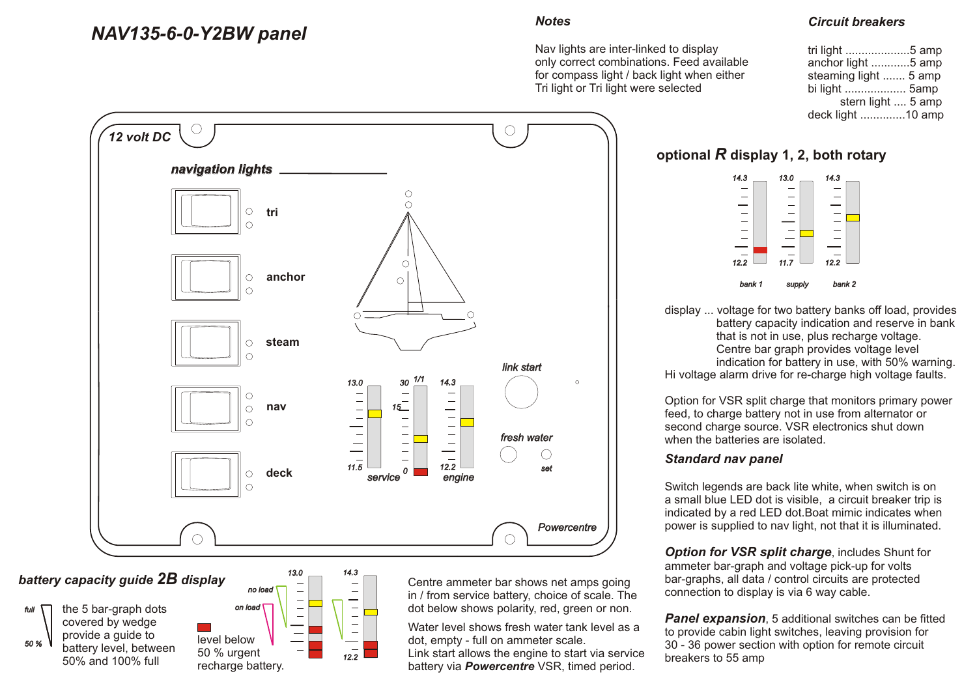## *NAV135-6-0-Y2BW panel*

#### *Notes*

Nav lights are inter-linked to display only correct combinations. Feed available for compass light / back light when either Tri light or Tri light were selected

#### *Circuit breakers*

| tri light 5 amp       |  |
|-----------------------|--|
| anchor light 5 amp    |  |
| steaming light  5 amp |  |
| bi light  5amp        |  |
| stern light  5 amp    |  |
| deck light 10 amp     |  |



*battery capacity guide 2B display*

 *50 %*





Centre ammeter bar shows net amps going in / from service battery, choice of scale. The dot below shows polarity, red, green or non.

Water level shows fresh water tank level as a dot, empty - full on ammeter scale. Link start allows the engine to start via service battery via *Powercentre* VSR, timed period.

**optional** *R* **display 1, 2, both rotary** 



display ... voltage for two battery banks off load, provides battery capacity indication and reserve in bank that is not in use, plus recharge voltage. Centre bar graph provides voltage level indication for battery in use, with 50% warning. Hi voltage alarm drive for re-charge high voltage faults.

Option for VSR split charge that monitors primary power feed, to charge battery not in use from alternator or second charge source. VSR electronics shut down when the batteries are isolated.

#### *Standard nav panel*

Switch legends are back lite white, when switch is on a small blue LED dot is visible, a circuit breaker trip is indicated by a red LED dot.Boat mimic indicates when power is supplied to nav light, not that it is illuminated.

**Option for VSR split charge, includes Shunt for** ammeter bar-graph and voltage pick-up for volts bar-graphs, all data / control circuits are protected connection to display is via 6 way cable.

**Panel expansion**, 5 additional switches can be fitted to provide cabin light switches, leaving provision for 30 - 36 power section with option for remote circuit breakers to 55 amp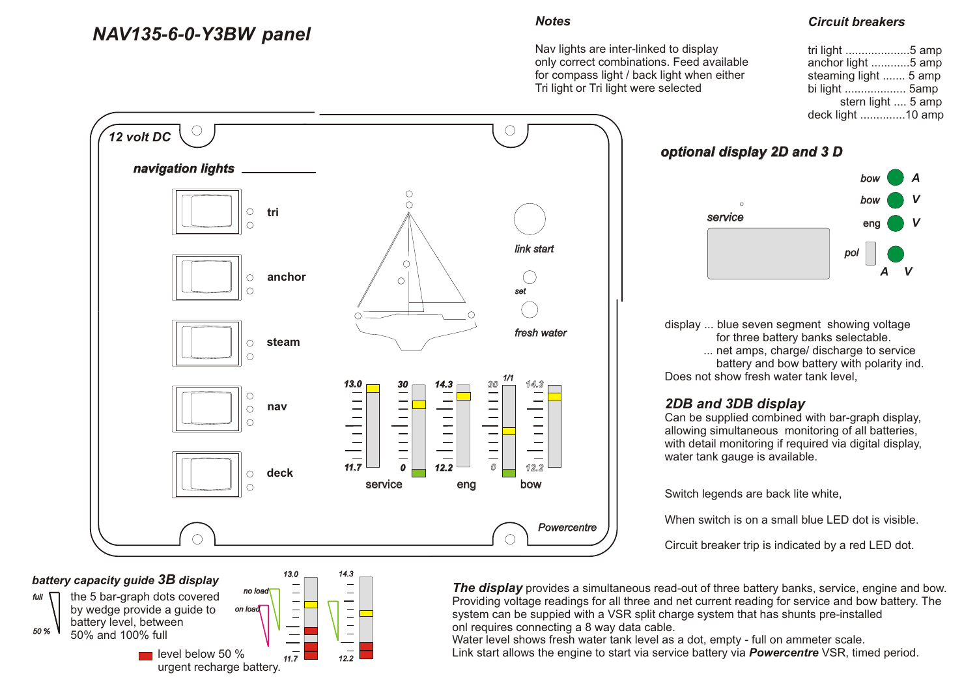## *NAV135-6-0-Y3BW panel*

#### *Notes*

Nav lights are inter-linked to display only correct combinations. Feed available for compass light / back light when either Tri light or Tri light were selected

#### *Circuit breakers*

| tri light 5 amp       |  |
|-----------------------|--|
| anchor light 5 amp    |  |
| steaming light  5 amp |  |
| bi light  5amp        |  |
| stern light  5 amp    |  |
| deck light 10 amp     |  |



## *battery capacity guide 3B display*



 *on load* the 5 bar-graph dots covered by wedge provide a guide to battery level, between 50% and 100% full  $\blacksquare$  level below 50 %



**The display** provides a simultaneous read-out of three battery banks, service, engine and bow. Providing voltage readings for all three and net current reading for service and bow battery. The system can be suppied with a VSR split charge system that has shunts pre-installed onl requires connecting a 8 way data cable.

Water level shows fresh water tank level as a dot, empty - full on ammeter scale. Link start allows the engine to start via service battery via *Powercentre* VSR, timed period.

#### *optional display 2D and 3 D*



display ... blue seven segment showing voltage for three battery banks selectable. ... net amps, charge/ discharge to service battery and bow battery with polarity ind. Does not show fresh water tank level.

### *2DB and 3DB display*

Can be supplied combined with bar-graph display, allowing simultaneous monitoring of all batteries, with detail monitoring if required via digital display, water tank gauge is available.

Switch legends are back lite white,

When switch is on a small blue LED dot is visible.

Circuit breaker trip is indicated by a red LED dot.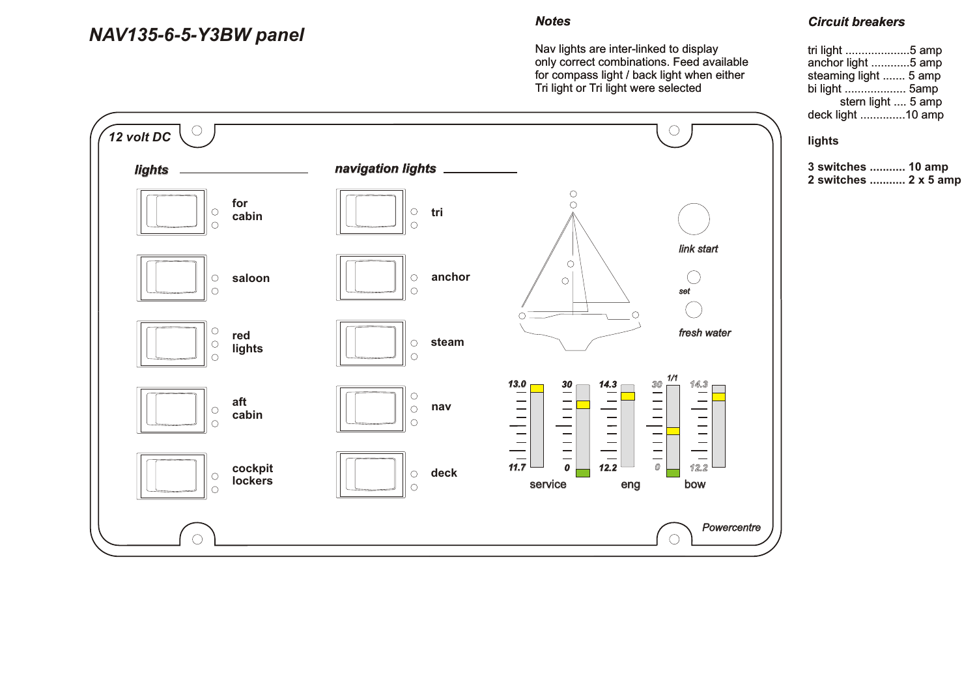## *NAV135-6-5-Y3BW panel*

#### *Notes*

Nav lights are inter-linked to display only correct combinations. Feed available for compass light / back light when either Tri light or Tri light were selected



### *Circuit breakers*

| tri light 5 amp       |  |
|-----------------------|--|
| anchor light 5 amp    |  |
| steaming light  5 amp |  |
| bi light  5amp        |  |
| stern light  5 amp    |  |
| deck light 10 amp     |  |

#### **lights**

| 3 switches  10 amp |                       |
|--------------------|-----------------------|
|                    | 2 switches  2 x 5 amp |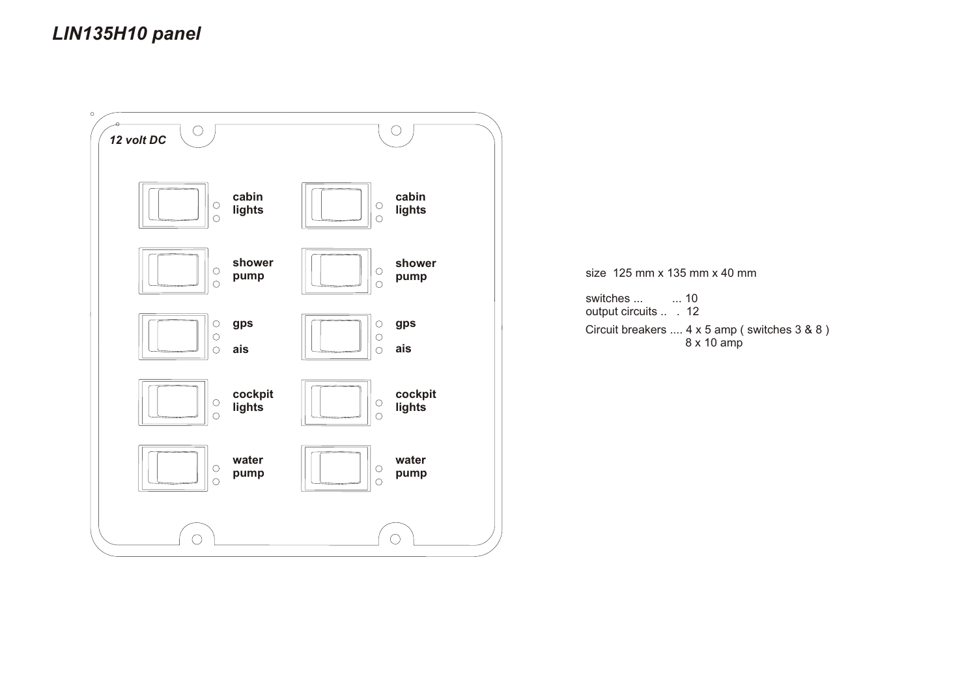# *LIN135H10 panel*



size 125 mm x 135 mm x 40 mm

switches ... ... 10 output circuits ... 12 Circuit breakers .... 4 x 5 amp ( switches 3 & 8 ) 8 x 10 amp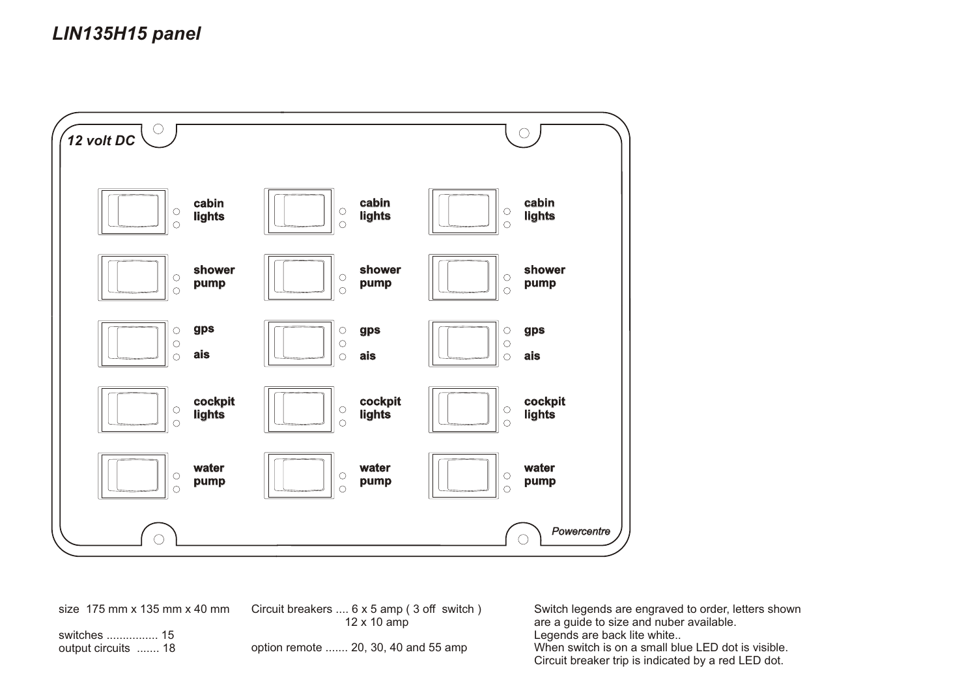# *LIN135H15 panel*



size 175 mm x 135 mm x 40 mm

Circuit breakers .... 6 x 5 amp ( 3 off switch ) 12 x 10 amp

switches ................ 15 output circuits ....... 18

option remote ....... 20, 30, 40 and 55 amp

Switch legends are engraved to order, letters shown are a guide to size and nuber available. Legends are back lite white.. When switch is on a small blue LED dot is visible. Circuit breaker trip is indicated by a red LED dot.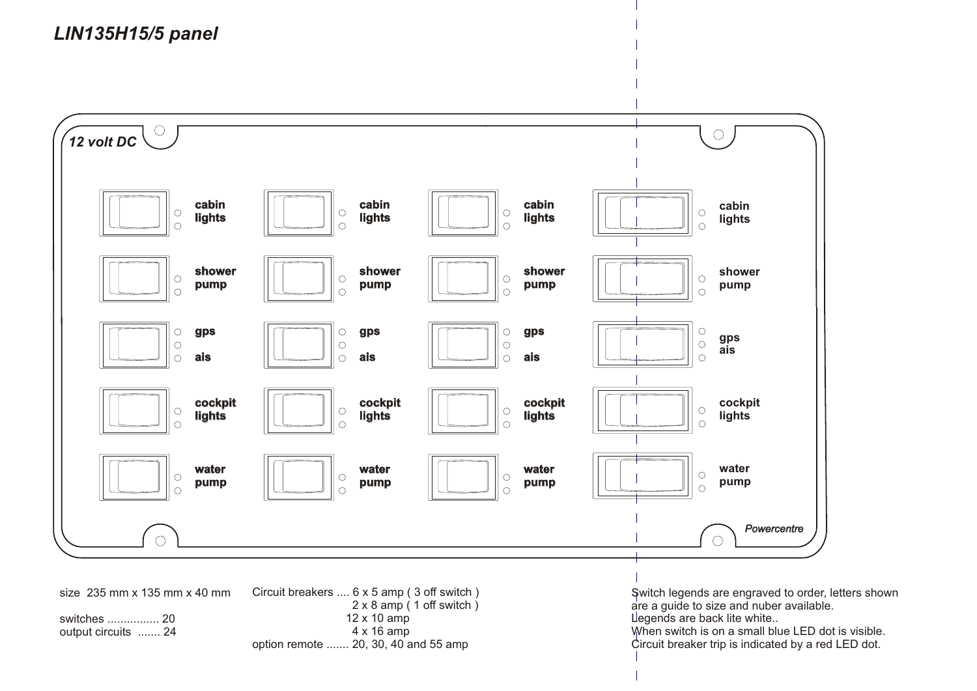*LIN135H15/5 panel* 

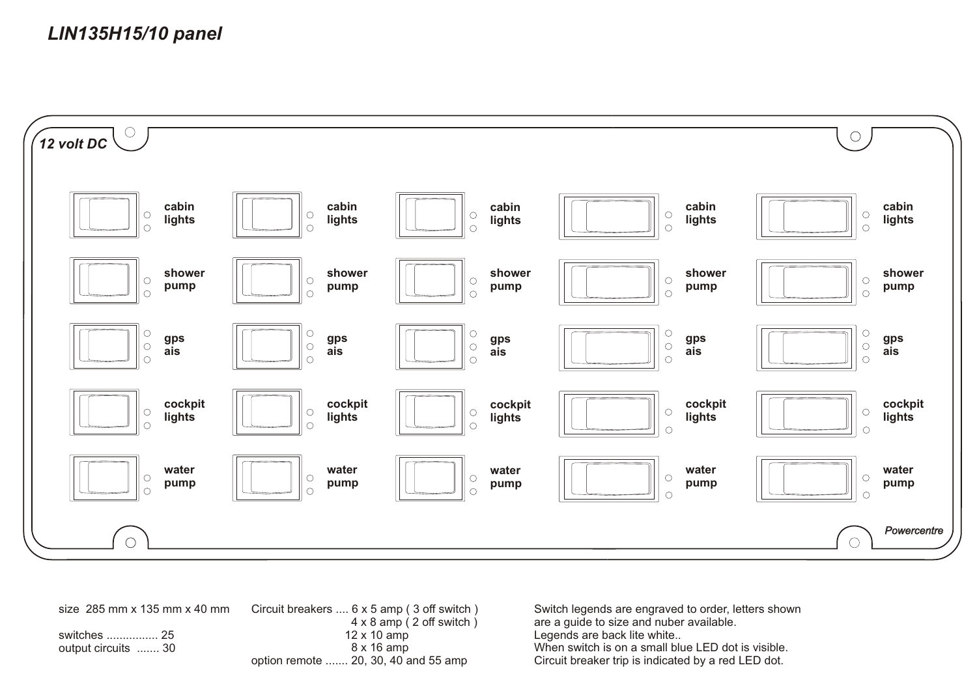

size 285 mm x 135 mm x 40 mm switches ................ 25 output circuits ....... 30 Circuit breakers .... 6 x 5 amp ( 3 off switch ) 4 x 8 amp ( 2 off switch ) 12 x 10 amp 8 x 16 amp option remote ....... 20, 30, 40 and 55 amp

Switch legends are engraved to order, letters shown are a guide to size and nuber available. Legends are back lite white.. When switch is on a small blue LED dot is visible. Circuit breaker trip is indicated by a red LED dot.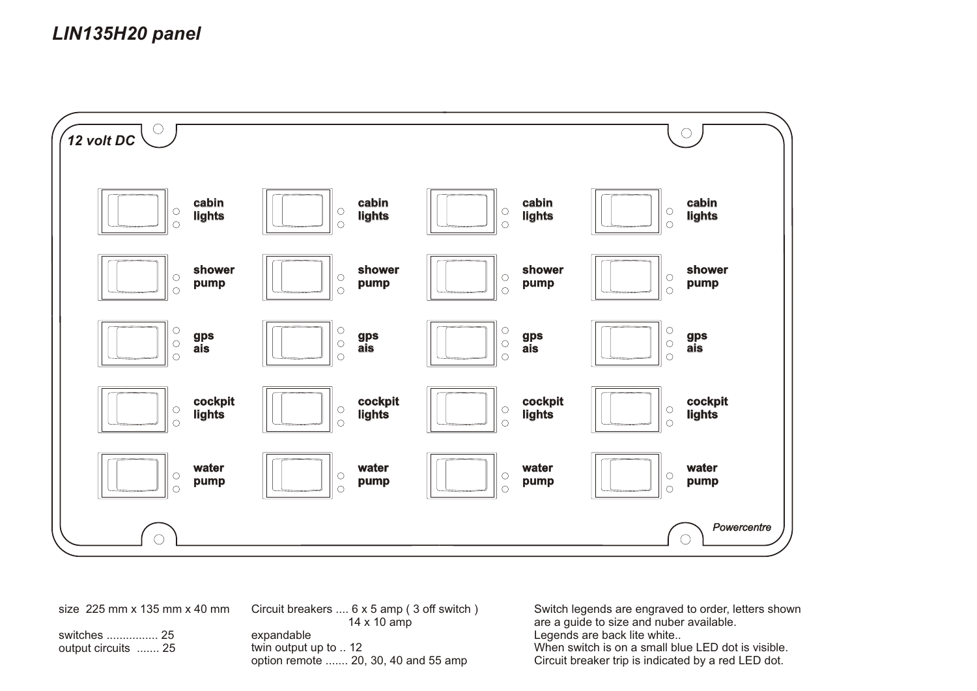# *LIN135H20 panel*



size 225 mm x 135 mm x 40 mm

switches ................ 25 output circuits ....... 25 Circuit breakers .... 6 x 5 amp ( 3 off switch ) 14 x 10 amp expandable twin output up to .. 12 option remote ....... 20, 30, 40 and 55 amp

Switch legends are engraved to order, letters shown are a guide to size and nuber available. Legends are back lite white... When switch is on a small blue LED dot is visible. Circuit breaker trip is indicated by a red LED dot.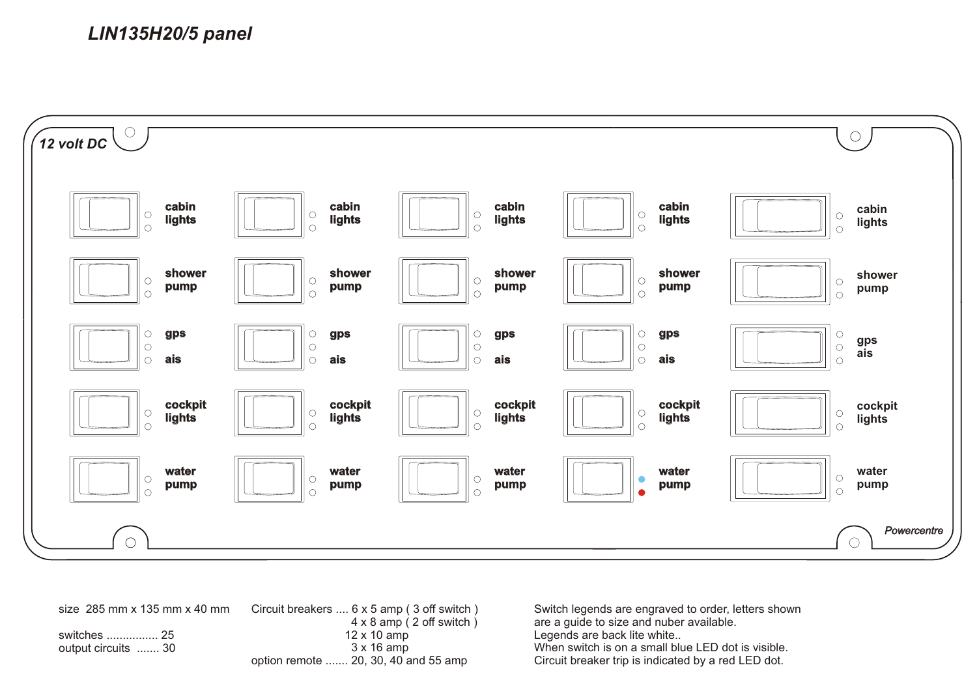

size 285 mm x 135 mm x 40 mm switches ................ 25 output circuits ....... 30 Circuit breakers .... 6 x 5 amp ( 3 off switch ) 4 x 8 amp ( 2 off switch ) 12 x 10 amp 3 x 16 amp option remote ....... 20, 30, 40 and 55 amp

Switch legends are engraved to order, letters shown are a guide to size and nuber available. Legends are back lite white.. When switch is on a small blue LED dot is visible. Circuit breaker trip is indicated by a red LED dot.